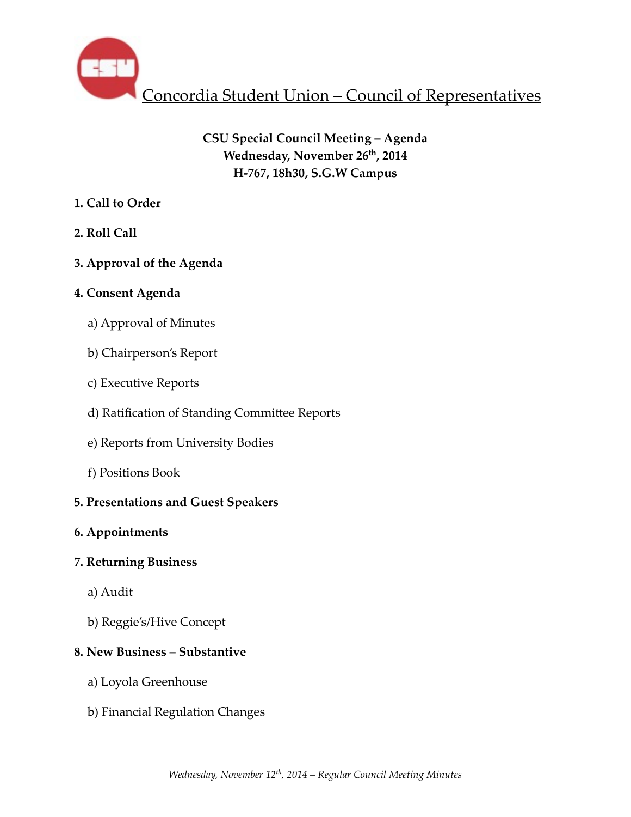

# **CSU Special Council Meeting – Agenda** Wednesday, November 26<sup>th</sup>, 2014 **H-767, 18h30, S.G.W Campus**

## **1. Call to Order**

**2. Roll Call** 

# **3. Approval of the Agenda**

## **4. Consent Agenda**

- a) Approval of Minutes
- b) Chairperson's Report
- c) Executive Reports
- d) Ratification of Standing Committee Reports
- e) Reports from University Bodies
- f) Positions Book

# **5. Presentations and Guest Speakers**

## **6. Appointments**

## **7. Returning Business**

- a) Audit
- b) Reggie's/Hive Concept

# **8. New Business – Substantive**

- a) Loyola Greenhouse
- b) Financial Regulation Changes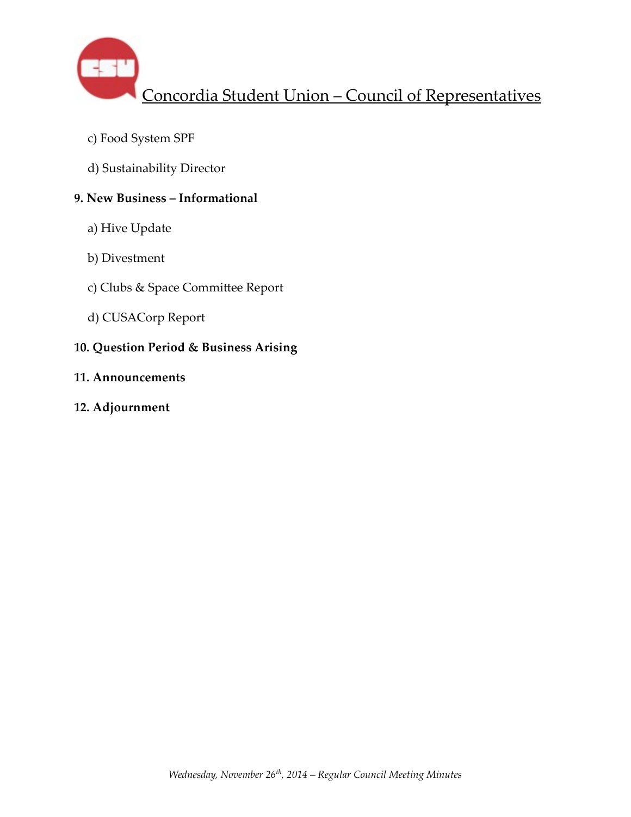

- c) Food System SPF
- d) Sustainability Director

## **9. New Business – Informational**

- a) Hive Update
- b) Divestment
- c) Clubs & Space Committee Report
- d) CUSACorp Report

# **10. Question Period & Business Arising**

- **11. Announcements**
- **12. Adjournment**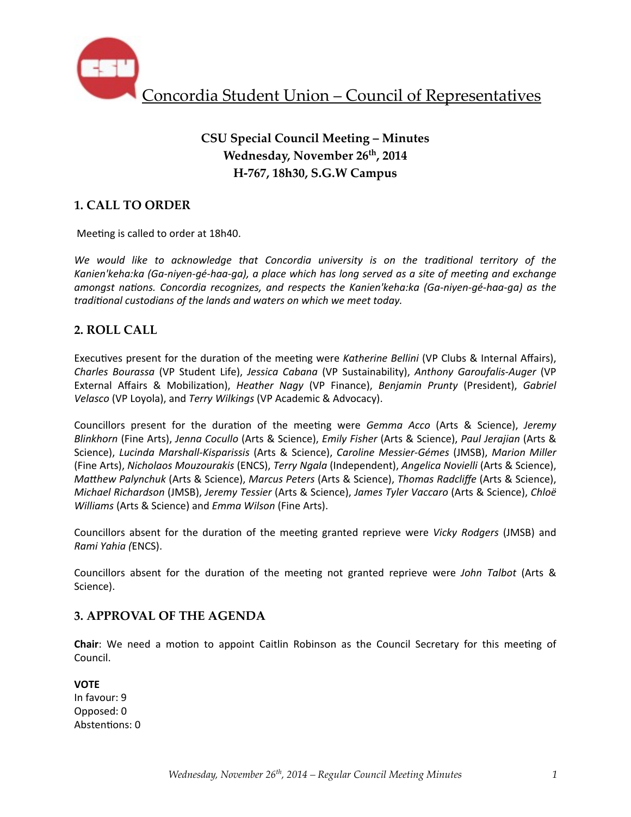

# **CSU Special Council Meeting – Minutes Wednesday, November 26th, 2014 H-767, 18h30, S.G.W Campus**

## **1. CALL TO ORDER**

Meeting is called to order at 18h40.

We would like to acknowledge that Concordia university is on the traditional territory of the Kanien'keha:ka (Ga-niyen-gé-haa-qa), a place which has long served as a site of meeting and exchange *amongst nations. Concordia recognizes, and respects the Kanien'keha:ka (Ga-niyen-gé-haa-ga)* as the traditional custodians of the lands and waters on which we meet today.

### **2. ROLL CALL**

Executives present for the duration of the meeting were *Katherine Bellini* (VP Clubs & Internal Affairs), *Charles Bourassa* (VP Student Life), *Jessica Cabana* (VP Sustainability), *Anthony Garoufalis-Auger* (VP External Affairs & Mobilization), *Heather Nagy* (VP Finance), *Benjamin Prunty* (President), *Gabriel Velasco* (VP Loyola), and *Terry Wilkings* (VP Academic & Advocacy).

Councillors present for the duration of the meeting were *Gemma Acco* (Arts & Science), Jeremy *Blinkhorn* (Fine Arts), *Jenna Cocullo* (Arts & Science), *Emily Fisher* (Arts & Science), *Paul Jerajian* (Arts & Science), Lucinda Marshall-Kisparissis (Arts & Science), Caroline Messier-Gémes (JMSB), Marion Miller (Fine Arts), *Nicholaos Mouzourakis* (ENCS), *Terry Ngala* (Independent), *Angelica Novielli* (Arts & Science), *MaThew Palynchuk* (Arts & Science), *Marcus Peters* (Arts & Science), *Thomas Radcliffe* (Arts & Science), *Michael Richardson* (JMSB), *Jeremy Tessier* (Arts & Science), *James Tyler Vaccaro* (Arts & Science), *Chloë Williams* (Arts & Science) and *Emma Wilson* (Fine Arts).

Councillors absent for the duration of the meeting granted reprieve were *Vicky Rodgers* (JMSB) and *Rami Yahia (*ENCS).

Councillors absent for the duration of the meeting not granted reprieve were *John Talbot* (Arts & Science).

### **3. APPROVAL OF THE AGENDA**

**Chair**: We need a motion to appoint Caitlin Robinson as the Council Secretary for this meeting of Council.

**VOTE** In favour: 9 Opposed: 0 Abstentions: 0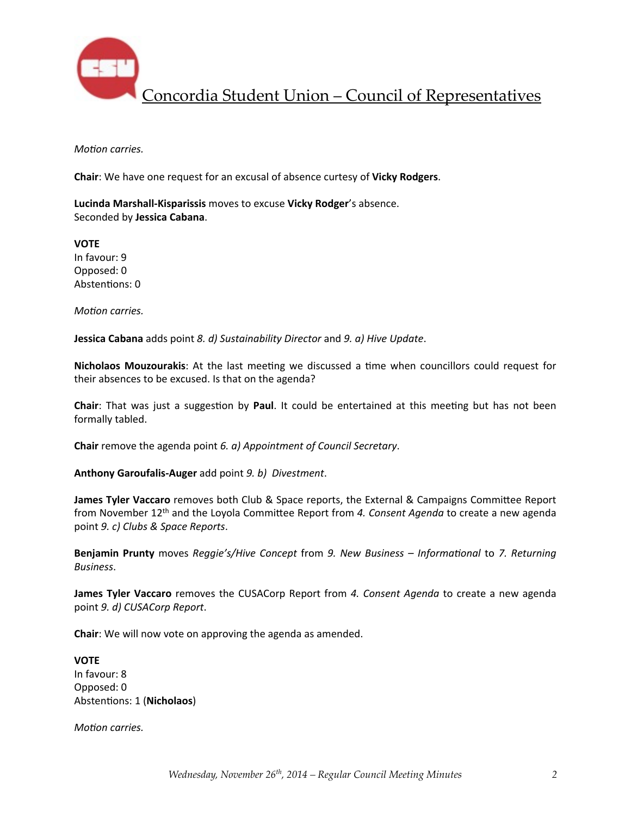

*Motion carries.* 

**Chair:** We have one request for an excusal of absence curtesy of **Vicky Rodgers.** 

**Lucinda Marshall-Kisparissis** moves to excuse Vicky Rodger's absence. Seconded by **Jessica Cabana**.

**VOTE** In favour: 9 Opposed: 0 Abstentions: 0

*Motion carries.* 

**Jessica Cabana** adds point *8. d)* Sustainability Director and *9. a)* Hive Update.

**Nicholaos Mouzourakis:** At the last meeting we discussed a time when councillors could request for their absences to be excused. Is that on the agenda?

**Chair**: That was just a suggestion by **Paul**. It could be entertained at this meeting but has not been formally tabled.

**Chair** remove the agenda point 6. a) Appointment of Council Secretary.

Anthony Garoufalis-Auger add point 9. b) Divestment.

**James Tyler Vaccaro** removes both Club & Space reports, the External & Campaigns Committee Report from November 12<sup>th</sup> and the Loyola Committee Report from 4. Consent Agenda to create a new agenda point 9. c) Clubs & Space Reports.

**Benjamin Prunty** moves *Reggie's/Hive Concept* from 9. New Business - Informational to 7. Returning *Business*.

**James Tyler Vaccaro** removes the CUSACorp Report from 4. Consent Agenda to create a new agenda point 9. d) CUSACorp Report.

**Chair**: We will now vote on approving the agenda as amended.

**VOTE** In favour: 8 Opposed: 0 Abstentions: 1 (Nicholaos)

*Motion carries.*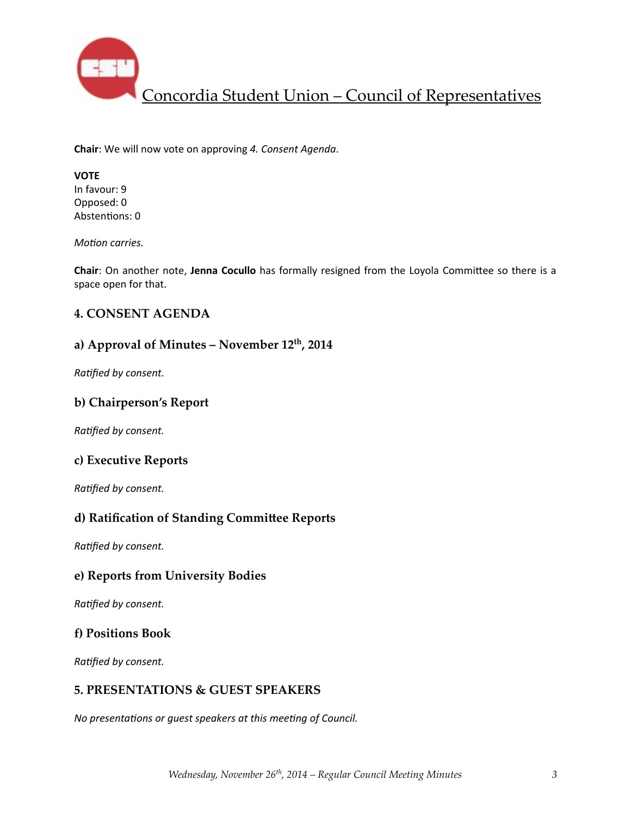

**Chair**: We will now vote on approving 4. Consent Agenda.

## **VOTE**

In favour: 9 Opposed: 0 Abstentions: 0

*Motion carries.* 

**Chair**: On another note, Jenna Cocullo has formally resigned from the Loyola Committee so there is a space open for that.

### **4. CONSENT AGENDA**

### **a) Approval of Minutes – November 12th, 2014**

**Ratified by consent.** 

### **b) Chairperson's Report**

**Ratified by consent.** 

### **c) Executive Reports**

**Ratified by consent.** 

### **d) Ratification of Standing Committee Reports**

**Ratified by consent.** 

### **e) Reports from University Bodies**

**Ratified by consent.** 

#### **f) Positions Book**

**Ratified by consent.** 

### **5. PRESENTATIONS & GUEST SPEAKERS**

*No presentations or quest speakers at this meeting of Council.*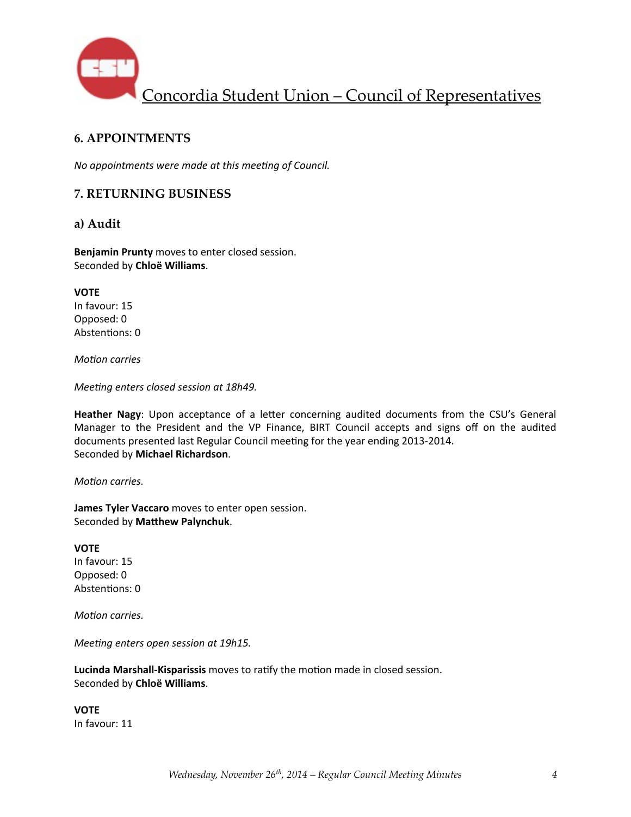

### **6. APPOINTMENTS**

*No appointments were made at this meeting of Council.* 

### **7. RETURNING BUSINESS**

#### **a) Audit**

**Benjamin Prunty** moves to enter closed session. Seconded by **Chloë Williams**.

**VOTE** In favour: 15 Opposed: 0 Abstentions: 0

*Motion carries* 

*Meeting enters closed session at 18h49.* 

Heather Nagy: Upon acceptance of a letter concerning audited documents from the CSU's General Manager to the President and the VP Finance, BIRT Council accepts and signs off on the audited documents presented last Regular Council meeting for the year ending 2013-2014. Seconded by **Michael Richardson**.

*Motion carries.* 

**James Tyler Vaccaro** moves to enter open session. Seconded by Matthew Palynchuk.

#### **VOTE** In favour: 15

Opposed: 0 Abstentions: 0

*Motion carries.* 

*Meeting enters open session at 19h15.* 

Lucinda Marshall-Kisparissis moves to ratify the motion made in closed session. Seconded by **Chloë Williams**.

**VOTE** In favour: 11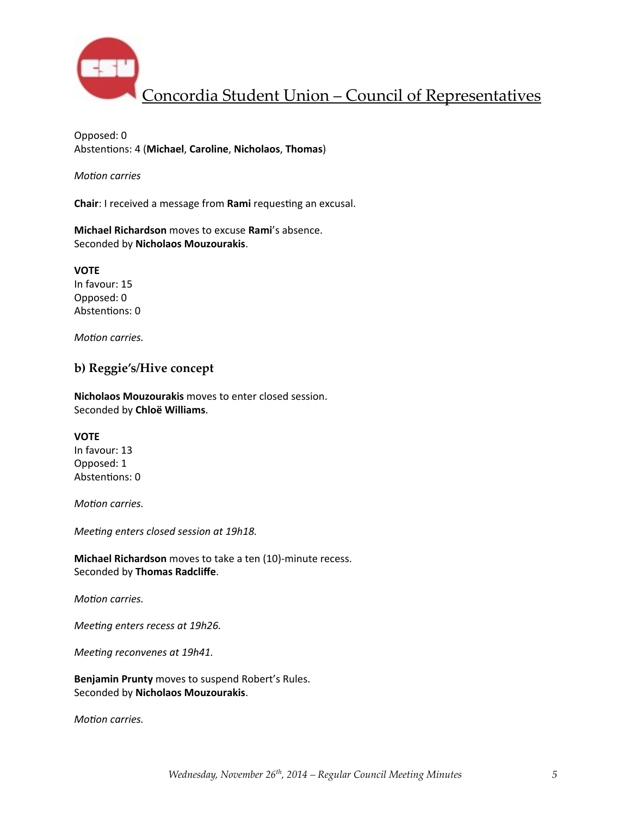

Opposed: 0 Abstentions: 4 (Michael, Caroline, Nicholaos, Thomas)

*Motion carries* 

**Chair**: I received a message from **Rami** requesting an excusal.

**Michael Richardson** moves to excuse **Rami**'s absence. Seconded by **Nicholaos Mouzourakis**.

**VOTE** In favour: 15 Opposed: 0 Abstentions: 0

*Motion carries.* 

#### **b) Reggie's/Hive concept**

**Nicholaos Mouzourakis** moves to enter closed session. Seconded by **Chloë Williams**.

#### **VOTE**

In favour: 13 Opposed: 1 Abstentions: 0

*Motion carries.* 

*Meeting enters closed session at 19h18.* 

**Michael Richardson** moves to take a ten (10)-minute recess. Seconded by **Thomas Radcliffe**.

*Motion carries.* 

*Meeting enters recess at 19h26.* 

*Meeting reconvenes at 19h41.* 

**Benjamin Prunty** moves to suspend Robert's Rules. Seconded by **Nicholaos Mouzourakis**.

*Motion carries.*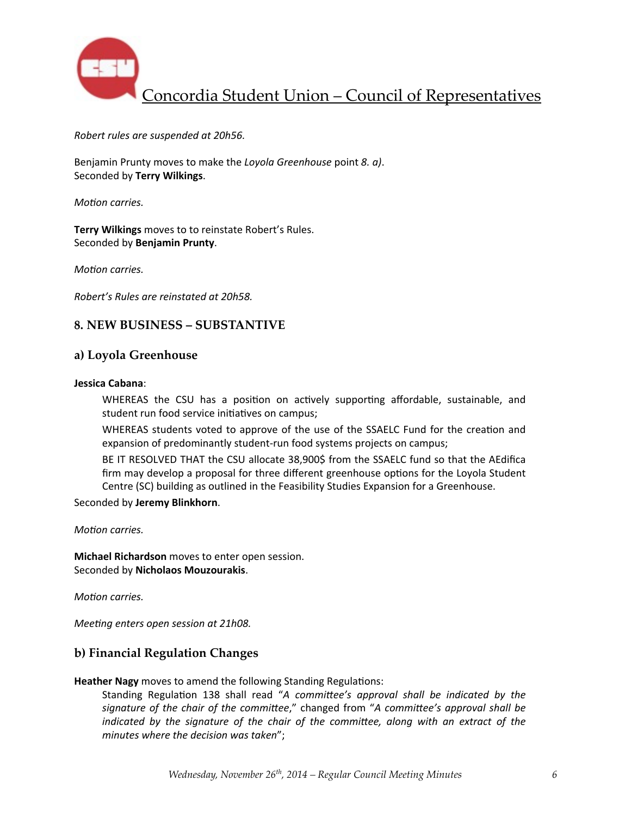

#### *Robert rules are suspended at 20h56.*

Benjamin Prunty moves to make the *Loyola Greenhouse* point *8. a*). Seconded by **Terry Wilkings**.

*Motion carries.* 

**Terry Wilkings** moves to to reinstate Robert's Rules. Seconded by **Benjamin Prunty**.

*Motion carries.* 

*Robert's Rules are reinstated at 20h58.*

#### **8. NEW BUSINESS – SUBSTANTIVE**

#### **a) Loyola Greenhouse**

#### **Jessica Cabana**:

WHEREAS the CSU has a position on actively supporting affordable, sustainable, and student run food service initiatives on campus;

WHEREAS students voted to approve of the use of the SSAELC Fund for the creation and expansion of predominantly student-run food systems projects on campus;

BE IT RESOLVED THAT the CSU allocate 38,900\$ from the SSAELC fund so that the AEdifica firm may develop a proposal for three different greenhouse options for the Loyola Student Centre (SC) building as outlined in the Feasibility Studies Expansion for a Greenhouse.

Seconded by **Jeremy Blinkhorn**.

*Motion carries.* 

**Michael Richardson** moves to enter open session. Seconded by **Nicholaos Mouzourakis**.

*Motion carries.* 

*Meeting enters open session at 21h08.* 

### **b) Financial Regulation Changes**

**Heather Nagy** moves to amend the following Standing Regulations:

Standing Regulation 138 shall read "A committee's approval shall be indicated by the signature of the chair of the committee," changed from "A committee's approval shall be *indicated* by the signature of the chair of the committee, along with an extract of the *minutes where the decision was taken*";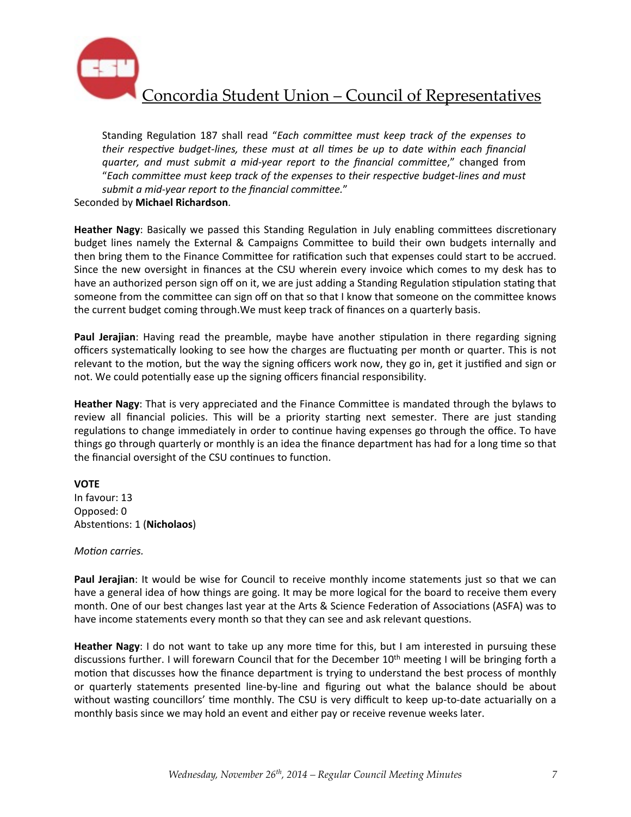

Standing Regulation 187 shall read "Each committee must keep track of the expenses to *their respective budget-lines, these must at all times be up to date within each financial quarter, and must submit a mid-year report to the financial committee*," changed from "Each committee must keep track of the expenses to their respective budget-lines and must submit a mid-year report to the financial committee."

Seconded by **Michael Richardson**.

Heather Nagy: Basically we passed this Standing Regulation in July enabling committees discretionary budget lines namely the External & Campaigns Committee to build their own budgets internally and then bring them to the Finance Committee for ratification such that expenses could start to be accrued. Since the new oversight in finances at the CSU wherein every invoice which comes to my desk has to have an authorized person sign off on it, we are just adding a Standing Regulation stipulation stating that someone from the committee can sign off on that so that I know that someone on the committee knows the current budget coming through. We must keep track of finances on a quarterly basis.

**Paul Jerajian**: Having read the preamble, maybe have another stipulation in there regarding signing officers systematically looking to see how the charges are fluctuating per month or quarter. This is not relevant to the motion, but the way the signing officers work now, they go in, get it justified and sign or not. We could potentially ease up the signing officers financial responsibility.

**Heather Nagy:** That is very appreciated and the Finance Committee is mandated through the bylaws to review all financial policies. This will be a priority starting next semester. There are just standing regulations to change immediately in order to continue having expenses go through the office. To have things go through quarterly or monthly is an idea the finance department has had for a long time so that the financial oversight of the CSU continues to function.

#### **VOTE**

In favour: 13 Opposed: 0 Abstentions: 1 (Nicholaos)

#### *Motion carries.*

Paul Jerajian: It would be wise for Council to receive monthly income statements just so that we can have a general idea of how things are going. It may be more logical for the board to receive them every month. One of our best changes last year at the Arts & Science Federation of Associations (ASFA) was to have income statements every month so that they can see and ask relevant questions.

Heather Nagy: I do not want to take up any more time for this, but I am interested in pursuing these discussions further. I will forewarn Council that for the December  $10<sup>th</sup>$  meeting I will be bringing forth a motion that discusses how the finance department is trying to understand the best process of monthly or quarterly statements presented line-by-line and figuring out what the balance should be about without wasting councillors' time monthly. The CSU is very difficult to keep up-to-date actuarially on a monthly basis since we may hold an event and either pay or receive revenue weeks later.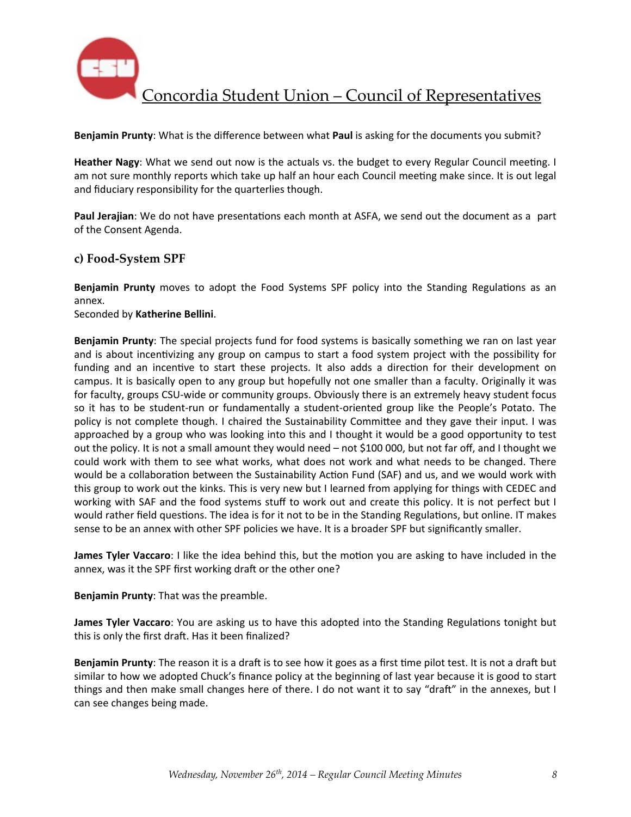

Benjamin Prunty: What is the difference between what Paul is asking for the documents you submit?

**Heather Nagy:** What we send out now is the actuals vs. the budget to every Regular Council meeting. I am not sure monthly reports which take up half an hour each Council meeting make since. It is out legal and fiduciary responsibility for the quarterlies though.

Paul Jerajian: We do not have presentations each month at ASFA, we send out the document as a part of the Consent Agenda.

#### **c) Food-System SPF**

**Benjamin Prunty** moves to adopt the Food Systems SPF policy into the Standing Regulations as an annex.

Seconded by **Katherine Bellini**.

**Benjamin Prunty**: The special projects fund for food systems is basically something we ran on last year and is about incentivizing any group on campus to start a food system project with the possibility for funding and an incentive to start these projects. It also adds a direction for their development on campus. It is basically open to any group but hopefully not one smaller than a faculty. Originally it was for faculty, groups CSU-wide or community groups. Obviously there is an extremely heavy student focus so it has to be student-run or fundamentally a student-oriented group like the People's Potato. The policy is not complete though. I chaired the Sustainability Committee and they gave their input. I was approached by a group who was looking into this and I thought it would be a good opportunity to test out the policy. It is not a small amount they would need – not \$100 000, but not far off, and I thought we could work with them to see what works, what does not work and what needs to be changed. There would be a collaboration between the Sustainability Action Fund (SAF) and us, and we would work with this group to work out the kinks. This is very new but I learned from applying for things with CEDEC and working with SAF and the food systems stuff to work out and create this policy. It is not perfect but I would rather field questions. The idea is for it not to be in the Standing Regulations, but online. IT makes sense to be an annex with other SPF policies we have. It is a broader SPF but significantly smaller.

**James Tyler Vaccaro**: I like the idea behind this, but the motion you are asking to have included in the annex, was it the SPF first working draft or the other one?

**Benjamin Prunty:** That was the preamble.

**James Tyler Vaccaro**: You are asking us to have this adopted into the Standing Regulations tonight but this is only the first draft. Has it been finalized?

**Benjamin Prunty**: The reason it is a draft is to see how it goes as a first time pilot test. It is not a draft but similar to how we adopted Chuck's finance policy at the beginning of last year because it is good to start things and then make small changes here of there. I do not want it to say "draft" in the annexes, but I can see changes being made.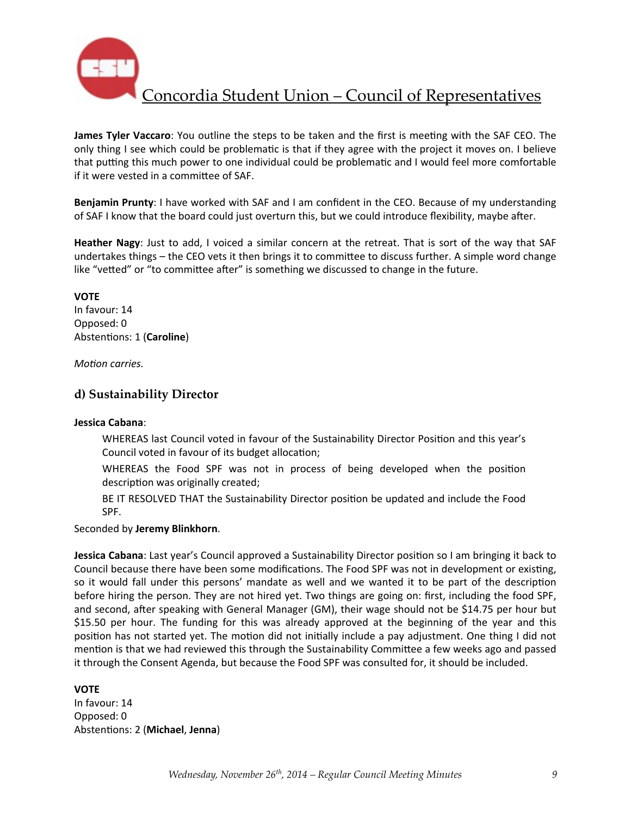

**James Tyler Vaccaro**: You outline the steps to be taken and the first is meeting with the SAF CEO. The only thing I see which could be problematic is that if they agree with the project it moves on. I believe that putting this much power to one individual could be problematic and I would feel more comfortable if it were vested in a committee of SAF.

**Benjamin Prunty**: I have worked with SAF and I am confident in the CEO. Because of my understanding of SAF I know that the board could just overturn this, but we could introduce flexibility, maybe after.

**Heather Nagy**: Just to add, I voiced a similar concern at the retreat. That is sort of the way that SAF undertakes things – the CEO vets it then brings it to committee to discuss further. A simple word change like "vetted" or "to committee after" is something we discussed to change in the future.

**VOTE** In favour: 14 Opposed: 0 Abstentions: 1 (Caroline)

*Motion carries.* 

### **d) Sustainability Director**

#### **Jessica Cabana**:

WHEREAS last Council voted in favour of the Sustainability Director Position and this year's Council voted in favour of its budget allocation;

WHEREAS the Food SPF was not in process of being developed when the position description was originally created;

BE IT RESOLVED THAT the Sustainability Director position be updated and include the Food SPF.

Seconded by **Jeremy Blinkhorn**.

**Jessica Cabana**: Last year's Council approved a Sustainability Director position so I am bringing it back to Council because there have been some modifications. The Food SPF was not in development or existing, so it would fall under this persons' mandate as well and we wanted it to be part of the description before hiring the person. They are not hired yet. Two things are going on: first, including the food SPF, and second, after speaking with General Manager (GM), their wage should not be \$14.75 per hour but \$15.50 per hour. The funding for this was already approved at the beginning of the year and this position has not started yet. The motion did not initially include a pay adjustment. One thing I did not mention is that we had reviewed this through the Sustainability Committee a few weeks ago and passed it through the Consent Agenda, but because the Food SPF was consulted for, it should be included.

#### **VOTE**

In favour: 14 Opposed: 0 Abstentions: 2 (Michael, Jenna)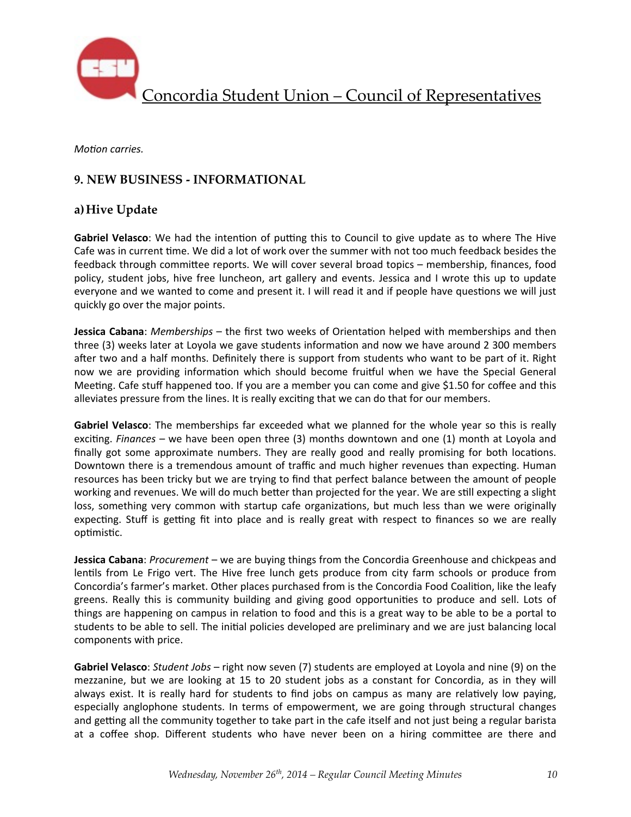

*Motion carries.* 

## **9. NEW BUSINESS - INFORMATIONAL**

### **a)Hive Update**

Gabriel Velasco: We had the intention of putting this to Council to give update as to where The Hive Cafe was in current time. We did a lot of work over the summer with not too much feedback besides the feedback through committee reports. We will cover several broad topics – membership, finances, food policy, student jobs, hive free luncheon, art gallery and events. Jessica and I wrote this up to update everyone and we wanted to come and present it. I will read it and if people have questions we will just quickly go over the major points.

**Jessica Cabana**: *Memberships* – the first two weeks of Orientation helped with memberships and then three (3) weeks later at Loyola we gave students information and now we have around 2 300 members after two and a half months. Definitely there is support from students who want to be part of it. Right now we are providing information which should become fruitful when we have the Special General Meeting. Cafe stuff happened too. If you are a member you can come and give \$1.50 for coffee and this alleviates pressure from the lines. It is really exciting that we can do that for our members.

Gabriel Velasco: The memberships far exceeded what we planned for the whole year so this is really exciting. *Finances* – we have been open three (3) months downtown and one (1) month at Loyola and finally got some approximate numbers. They are really good and really promising for both locations. Downtown there is a tremendous amount of traffic and much higher revenues than expecting. Human resources has been tricky but we are trying to find that perfect balance between the amount of people working and revenues. We will do much better than projected for the year. We are still expecting a slight loss, something very common with startup cafe organizations, but much less than we were originally expecting. Stuff is getting fit into place and is really great with respect to finances so we are really optimistic.

**Jessica Cabana**: *Procurement* – we are buying things from the Concordia Greenhouse and chickpeas and lentils from Le Frigo vert. The Hive free lunch gets produce from city farm schools or produce from Concordia's farmer's market. Other places purchased from is the Concordia Food Coalition, like the leafy greens. Really this is community building and giving good opportunities to produce and sell. Lots of things are happening on campus in relation to food and this is a great way to be able to be a portal to students to be able to sell. The initial policies developed are preliminary and we are just balancing local components with price.

**Gabriel Velasco**: *Student Jobs* – right now seven (7) students are employed at Loyola and nine (9) on the mezzanine, but we are looking at 15 to 20 student jobs as a constant for Concordia, as in they will always exist. It is really hard for students to find jobs on campus as many are relatively low paying, especially anglophone students. In terms of empowerment, we are going through structural changes and getting all the community together to take part in the cafe itself and not just being a regular barista at a coffee shop. Different students who have never been on a hiring committee are there and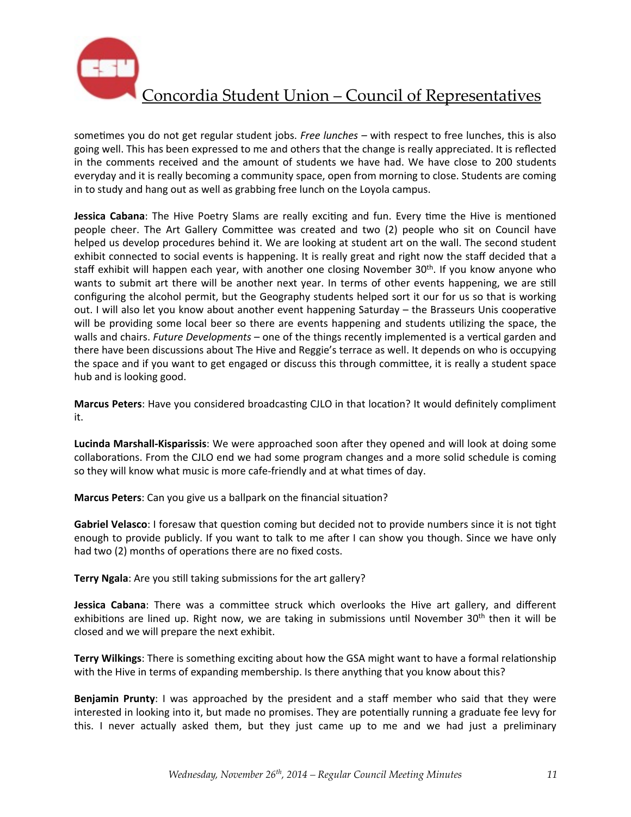

sometimes you do not get regular student jobs. Free lunches - with respect to free lunches, this is also going well. This has been expressed to me and others that the change is really appreciated. It is reflected in the comments received and the amount of students we have had. We have close to 200 students everyday and it is really becoming a community space, open from morning to close. Students are coming in to study and hang out as well as grabbing free lunch on the Loyola campus.

**Jessica Cabana**: The Hive Poetry Slams are really exciting and fun. Every time the Hive is mentioned people cheer. The Art Gallery Committee was created and two (2) people who sit on Council have helped us develop procedures behind it. We are looking at student art on the wall. The second student exhibit connected to social events is happening. It is really great and right now the staff decided that a staff exhibit will happen each year, with another one closing November  $30<sup>th</sup>$ . If you know anyone who wants to submit art there will be another next year. In terms of other events happening, we are still configuring the alcohol permit, but the Geography students helped sort it our for us so that is working out. I will also let you know about another event happening Saturday – the Brasseurs Unis cooperative will be providing some local beer so there are events happening and students utilizing the space, the walls and chairs. *Future Developments* – one of the things recently implemented is a vertical garden and there have been discussions about The Hive and Reggie's terrace as well. It depends on who is occupying the space and if you want to get engaged or discuss this through committee, it is really a student space hub and is looking good.

**Marcus Peters**: Have you considered broadcasting CJLO in that location? It would definitely compliment it.

**Lucinda Marshall-Kisparissis:** We were approached soon after they opened and will look at doing some collaborations. From the CJLO end we had some program changes and a more solid schedule is coming so they will know what music is more cafe-friendly and at what times of day.

**Marcus Peters**: Can you give us a ballpark on the financial situation?

**Gabriel Velasco**: I foresaw that question coming but decided not to provide numbers since it is not tight enough to provide publicly. If you want to talk to me after I can show you though. Since we have only had two (2) months of operations there are no fixed costs.

Terry Ngala: Are you still taking submissions for the art gallery?

**Jessica Cabana**: There was a committee struck which overlooks the Hive art gallery, and different exhibitions are lined up. Right now, we are taking in submissions until November 30<sup>th</sup> then it will be closed and we will prepare the next exhibit.

**Terry Wilkings:** There is something exciting about how the GSA might want to have a formal relationship with the Hive in terms of expanding membership. Is there anything that you know about this?

**Benjamin Prunty**: I was approached by the president and a staff member who said that they were interested in looking into it, but made no promises. They are potentially running a graduate fee levy for this. I never actually asked them, but they just came up to me and we had just a preliminary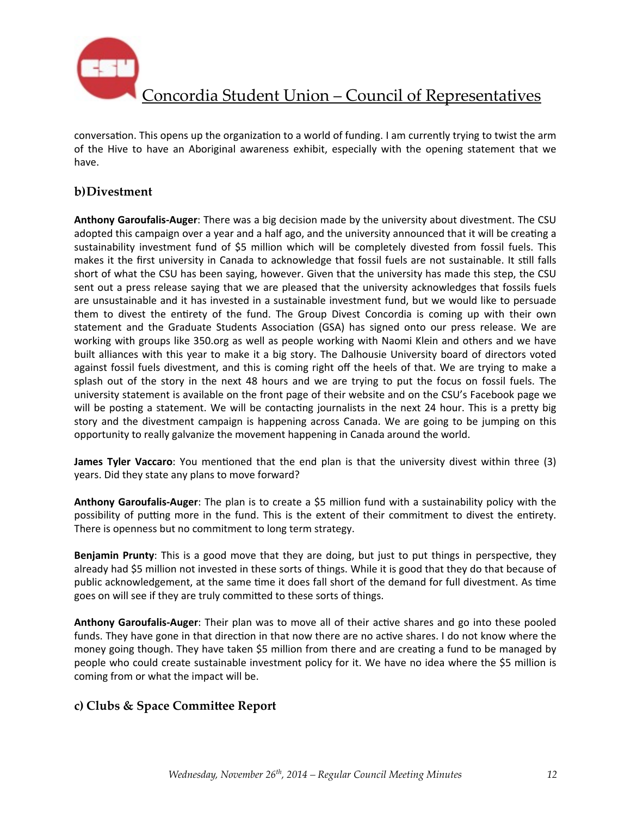

conversation. This opens up the organization to a world of funding. I am currently trying to twist the arm of the Hive to have an Aboriginal awareness exhibit, especially with the opening statement that we have. 

### **b)Divestment**

Anthony Garoufalis-Auger: There was a big decision made by the university about divestment. The CSU adopted this campaign over a year and a half ago, and the university announced that it will be creating a sustainability investment fund of \$5 million which will be completely divested from fossil fuels. This makes it the first university in Canada to acknowledge that fossil fuels are not sustainable. It still falls short of what the CSU has been saying, however. Given that the university has made this step, the CSU sent out a press release saying that we are pleased that the university acknowledges that fossils fuels are unsustainable and it has invested in a sustainable investment fund, but we would like to persuade them to divest the entirety of the fund. The Group Divest Concordia is coming up with their own statement and the Graduate Students Association (GSA) has signed onto our press release. We are working with groups like 350.org as well as people working with Naomi Klein and others and we have built alliances with this year to make it a big story. The Dalhousie University board of directors voted against fossil fuels divestment, and this is coming right off the heels of that. We are trying to make a splash out of the story in the next 48 hours and we are trying to put the focus on fossil fuels. The university statement is available on the front page of their website and on the CSU's Facebook page we will be posting a statement. We will be contacting journalists in the next 24 hour. This is a pretty big story and the divestment campaign is happening across Canada. We are going to be jumping on this opportunity to really galvanize the movement happening in Canada around the world.

**James Tyler Vaccaro**: You mentioned that the end plan is that the university divest within three (3) years. Did they state any plans to move forward?

**Anthony Garoufalis-Auger**: The plan is to create a \$5 million fund with a sustainability policy with the possibility of putting more in the fund. This is the extent of their commitment to divest the entirety. There is openness but no commitment to long term strategy.

**Benjamin Prunty**: This is a good move that they are doing, but just to put things in perspective, they already had \$5 million not invested in these sorts of things. While it is good that they do that because of public acknowledgement, at the same time it does fall short of the demand for full divestment. As time goes on will see if they are truly committed to these sorts of things.

**Anthony Garoufalis-Auger**: Their plan was to move all of their active shares and go into these pooled funds. They have gone in that direction in that now there are no active shares. I do not know where the money going though. They have taken \$5 million from there and are creating a fund to be managed by people who could create sustainable investment policy for it. We have no idea where the \$5 million is coming from or what the impact will be.

### **c) Clubs & Space Committee Report**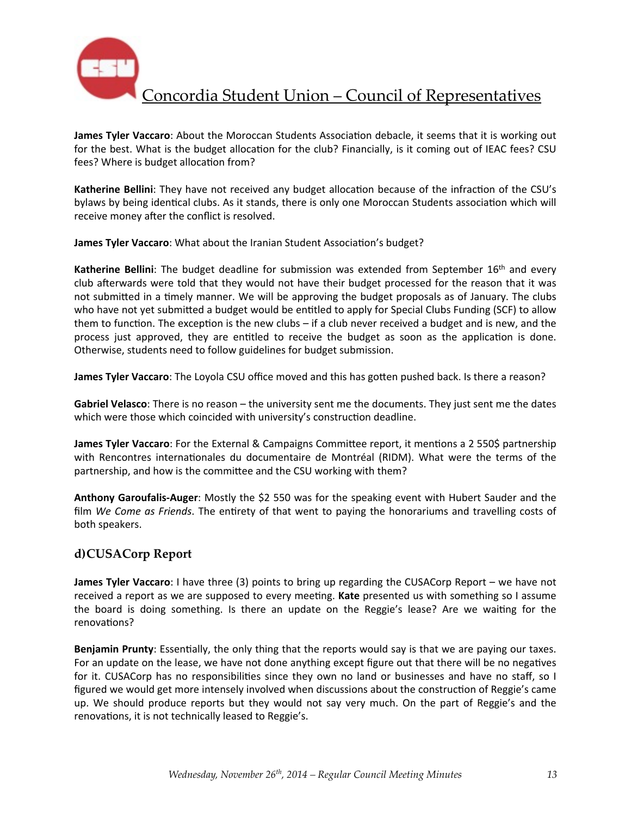

**James Tyler Vaccaro**: About the Moroccan Students Association debacle, it seems that it is working out for the best. What is the budget allocation for the club? Financially, is it coming out of IEAC fees? CSU fees? Where is budget allocation from?

Katherine Bellini: They have not received any budget allocation because of the infraction of the CSU's bylaws by being identical clubs. As it stands, there is only one Moroccan Students association which will receive money after the conflict is resolved.

James Tyler Vaccaro: What about the Iranian Student Association's budget?

**Katherine Bellini**: The budget deadline for submission was extended from September 16<sup>th</sup> and every club afterwards were told that they would not have their budget processed for the reason that it was not submitted in a timely manner. We will be approving the budget proposals as of January. The clubs who have not yet submitted a budget would be entitled to apply for Special Clubs Funding (SCF) to allow them to function. The exception is the new clubs  $-$  if a club never received a budget and is new, and the process just approved, they are entitled to receive the budget as soon as the application is done. Otherwise, students need to follow guidelines for budget submission.

**James Tyler Vaccaro**: The Loyola CSU office moved and this has gotten pushed back. Is there a reason?

**Gabriel Velasco**: There is no reason – the university sent me the documents. They just sent me the dates which were those which coincided with university's construction deadline.

**James Tyler Vaccaro**: For the External & Campaigns Committee report, it mentions a 2 550\$ partnership with Rencontres internationales du documentaire de Montréal (RIDM). What were the terms of the partnership, and how is the committee and the CSU working with them?

**Anthony Garoufalis-Auger:** Mostly the \$2 550 was for the speaking event with Hubert Sauder and the film We Come as Friends. The entirety of that went to paying the honorariums and travelling costs of both speakers.

## **d)CUSACorp Report**

**James Tyler Vaccaro**: I have three (3) points to bring up regarding the CUSACorp Report – we have not received a report as we are supposed to every meeting. Kate presented us with something so I assume the board is doing something. Is there an update on the Reggie's lease? Are we waiting for the renovations?

**Benjamin Prunty**: Essentially, the only thing that the reports would say is that we are paying our taxes. For an update on the lease, we have not done anything except figure out that there will be no negatives for it. CUSACorp has no responsibilities since they own no land or businesses and have no staff, so I figured we would get more intensely involved when discussions about the construction of Reggie's came up. We should produce reports but they would not say very much. On the part of Reggie's and the renovations, it is not technically leased to Reggie's.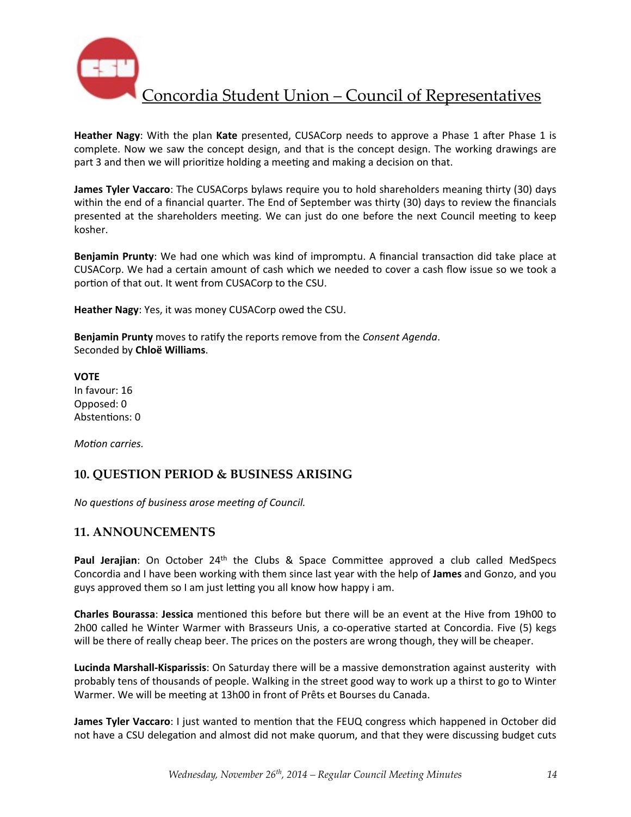

**Heather Nagy:** With the plan **Kate** presented, CUSACorp needs to approve a Phase 1 after Phase 1 is complete. Now we saw the concept design, and that is the concept design. The working drawings are part 3 and then we will prioritize holding a meeting and making a decision on that.

**James Tyler Vaccaro**: The CUSACorps bylaws require you to hold shareholders meaning thirty (30) days within the end of a financial quarter. The End of September was thirty (30) days to review the financials presented at the shareholders meeting. We can just do one before the next Council meeting to keep kosher.

**Benjamin Prunty**: We had one which was kind of impromptu. A financial transaction did take place at CUSACorp. We had a certain amount of cash which we needed to cover a cash flow issue so we took a portion of that out. It went from CUSACorp to the CSU.

**Heather Nagy**: Yes, it was money CUSACorp owed the CSU.

**Benjamin Prunty** moves to ratify the reports remove from the *Consent Agenda*. Seconded by **Chloë Williams**.

**VOTE** In favour: 16 Opposed: 0 Abstentions: 0

*Motion carries.* 

### **10. QUESTION PERIOD & BUSINESS ARISING**

*No questions of business arose meeting of Council.* 

#### **11. ANNOUNCEMENTS**

Paul Jerajian: On October 24<sup>th</sup> the Clubs & Space Committee approved a club called MedSpecs Concordia and I have been working with them since last year with the help of James and Gonzo, and you guys approved them so I am just letting you all know how happy i am.

**Charles Bourassa: Jessica** mentioned this before but there will be an event at the Hive from 19h00 to 2h00 called he Winter Warmer with Brasseurs Unis, a co-operative started at Concordia. Five (5) kegs will be there of really cheap beer. The prices on the posters are wrong though, they will be cheaper.

Lucinda Marshall-Kisparissis: On Saturday there will be a massive demonstration against austerity with probably tens of thousands of people. Walking in the street good way to work up a thirst to go to Winter Warmer. We will be meeting at 13h00 in front of Prêts et Bourses du Canada.

**James Tyler Vaccaro**: I just wanted to mention that the FEUQ congress which happened in October did not have a CSU delegation and almost did not make quorum, and that they were discussing budget cuts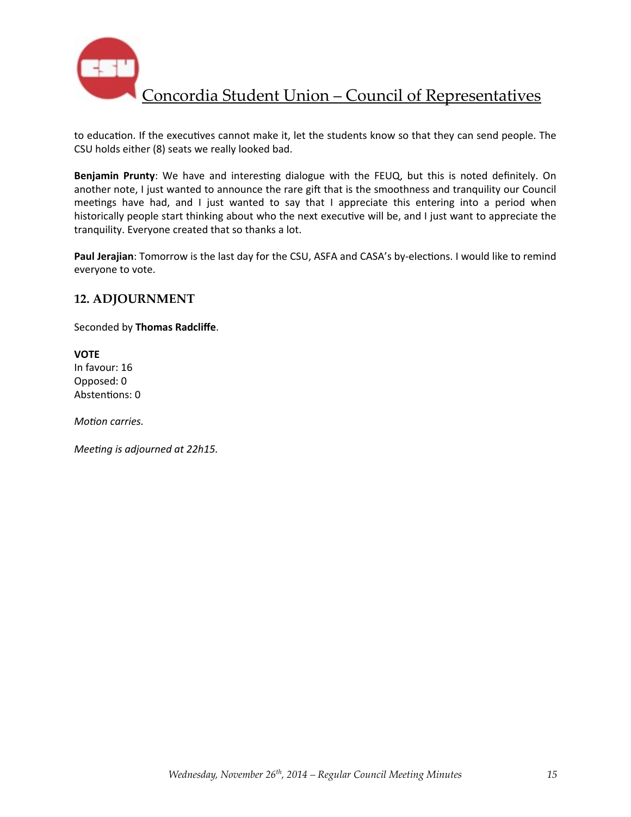

to education. If the executives cannot make it, let the students know so that they can send people. The CSU holds either (8) seats we really looked bad.

**Benjamin Prunty**: We have and interesting dialogue with the FEUQ, but this is noted definitely. On another note, I just wanted to announce the rare gift that is the smoothness and tranquility our Council meetings have had, and I just wanted to say that I appreciate this entering into a period when historically people start thinking about who the next executive will be, and I just want to appreciate the tranquility. Everyone created that so thanks a lot.

Paul Jerajian: Tomorrow is the last day for the CSU, ASFA and CASA's by-elections. I would like to remind everyone to vote.

#### **12. ADJOURNMENT**

Seconded by **Thomas Radcliffe**.

**VOTE** In favour: 16 Opposed: 0 Abstentions: 0

*Motion carries.* 

*Meeting is adjourned at 22h15.*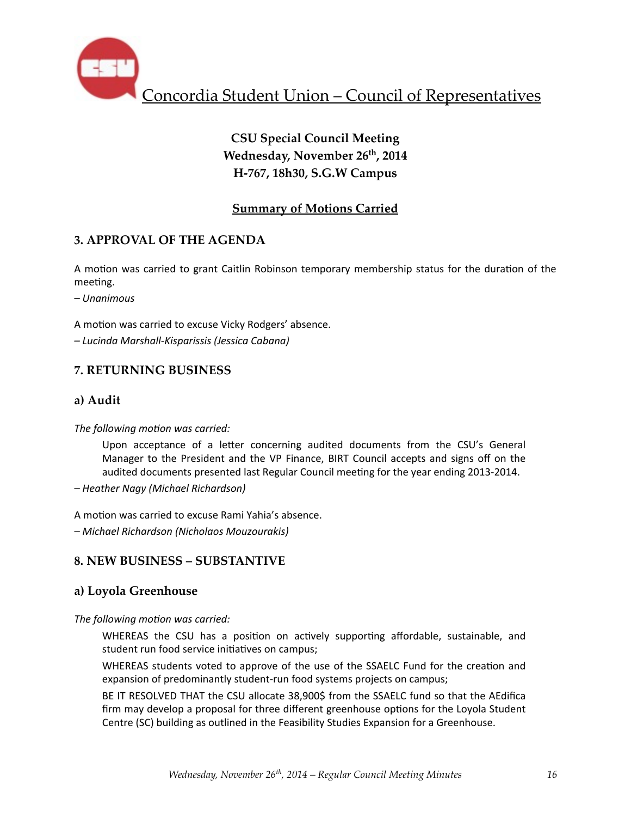

# **CSU Special Council Meeting Wednesday, November 26th, 2014 H-767, 18h30, S.G.W Campus**

## **Summary of Motions Carried**

## **3. APPROVAL OF THE AGENDA**

A motion was carried to grant Caitlin Robinson temporary membership status for the duration of the meeting.

*– Unanimous*

A motion was carried to excuse Vicky Rodgers' absence.

*– Lucinda Marshall-Kisparissis (Jessica Cabana)*

### **7. RETURNING BUSINESS**

### **a) Audit**

#### The following motion was carried:

Upon acceptance of a letter concerning audited documents from the CSU's General Manager to the President and the VP Finance, BIRT Council accepts and signs off on the audited documents presented last Regular Council meeting for the year ending 2013-2014.

*– Heather Nagy (Michael Richardson)*

A motion was carried to excuse Rami Yahia's absence.

*– Michael Richardson (Nicholaos Mouzourakis)*

## **8. NEW BUSINESS – SUBSTANTIVE**

### **a) Loyola Greenhouse**

The following motion was carried:

WHEREAS the CSU has a position on actively supporting affordable, sustainable, and student run food service initiatives on campus;

WHEREAS students voted to approve of the use of the SSAELC Fund for the creation and expansion of predominantly student-run food systems projects on campus;

BE IT RESOLVED THAT the CSU allocate 38,900\$ from the SSAELC fund so that the AEdifica firm may develop a proposal for three different greenhouse options for the Loyola Student Centre (SC) building as outlined in the Feasibility Studies Expansion for a Greenhouse.